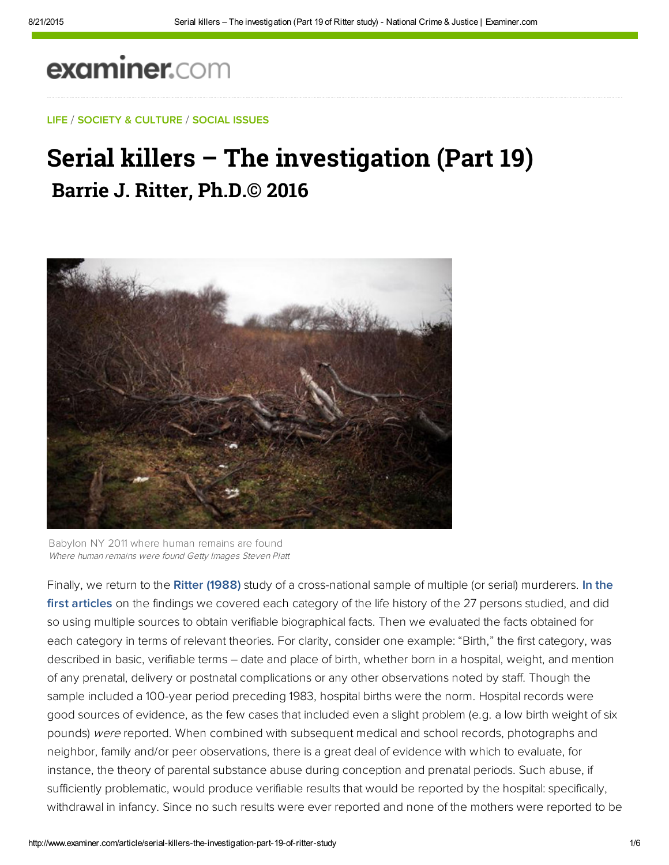# examiner.com

#### LIFE / SOCIETY & CULTURE / SOCIAL ISSUES

## Serial killers – The investigation (Part 19) **Barrie J. Ritter, Ph.D.© 2016**



Babylon NY 2011 where human remains are found Where human remains were found Getty Images Steven Platt

Finally, we return to the [Ritter \(1988\)](http://search.proquest.com/docview/303716825/abstract) study of a cross-national sample of multiple (or serial) murderers. In the first articles on the findings we covered each category of the life history of the 27 persons studied, and did so using multiple sources to obtain verifiable biographical facts. Then we evaluated the facts obtained for each category in terms of relevant theories. For clarity, consider one example: "Birth," the first category, was described in basic, verifiable terms – date and place of birth, whether born in a hospital, weight, and mention of any prenatal, delivery or postnatal complications or any other observations noted by staff. Though the sample included a 100-year period preceding 1983, hospital births were the norm. Hospital records were good sources of evidence, as the few cases that included even a slight problem (e.g. a low birth weight of six pounds) were reported. When combined with subsequent medical and school records, photographs and neighbor, family and/or peer observations, there is a great deal of evidence with which to evaluate, for instance, the theory of parental substance abuse during conception and prenatal periods. Such abuse, if sufficiently problematic, would produce verifiable results that would be reported by the hospital: specifically, withdrawal in infancy. Since no such results were ever reported and none of the mothers were reported to be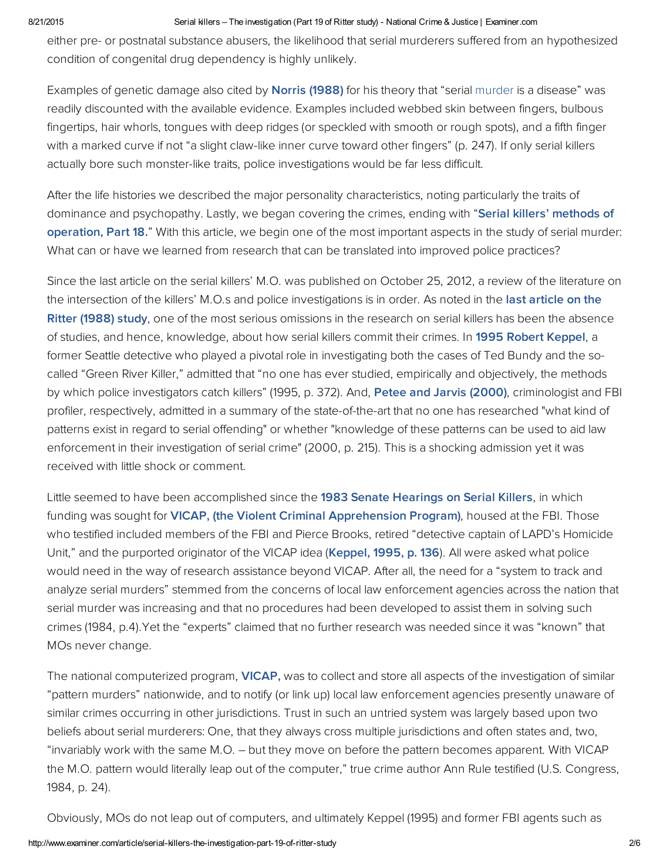#### 8/21/2015 Serial killers – The investigation (Part 19 of Ritter study) National Crime & Justice | Examiner.com

either pre- or postnatal substance abusers, the likelihood that serial murderers suffered from an hypothesized condition of congenital drug dependency is highly unlikely.

Examples of genetic damage also cited by **[Norris](http://bit.ly/1vy7kEr) (1988)** for his theory that "serial murder is a disease" was readily discounted with the available evidence. Examples included webbed skin between fingers, bulbous fingertips, hair whorls, tongues with deep ridges (or speckled with smooth or rough spots), and a fifth finger with a marked curve if not "a slight claw-like inner curve toward other fingers" (p. 247). If only serial killers actually bore such monster-like traits, police investigations would be far less difficult.

After the life histories we described the major personality characteristics, noting particularly the traits of dominance and [psychopathy.](http://www.ritterhomicideresearch.com/articles/Part-18.pdf) Lastly, we began covering the crimes, ending with "Serial killers' methods of operation, Part 18." With this article, we begin one of the most important aspects in the study of serial murder: What can or have we learned from research that can be translated into improved police practices?

Since the last article on the serial killers' M.O. was published on October 25, 2012, a review of the literature on the intersection of the killers' M.O.s and police [investigations](http://search.proquest.com/docview/303716825/abstract) is in order. As noted in the last article on the Ritter (1988) study, one of the most serious omissions in the research on serial killers has been the absence of studies, and hence, knowledge, about how serial killers commit their crimes. In [1995](http://amzn.to/1tkjz6x) Robert [Keppel,](http://bit.ly/TamScX) a former Seattle detective who played a pivotal role in investigating both the cases of Ted Bundy and the socalled "Green River Killer," admitted that "no one has ever studied, empirically and objectively, the methods by which police investigators catch killers" (1995, p. 372). And, Petee and Jarvis [\(2000\),](http://bit.ly/1tkjOP1) criminologist and FBI profiler, respectively, admitted in a summary of the state-of-the-art that no one has researched "what kind of patterns exist in regard to serial offending" or whether "knowledge of these patterns can be used to aid law enforcement in their investigation of serial crime" (2000, p. 215). This is a shocking admission yet it was received with little shock or comment.

Little seemed to have been accomplished since the 1983 Senate [Hearings](http://bit.ly/VKmx1y) on Serial Killers, in which funding was sought for **VICAP, (the Violent Criminal [Apprehension](https://en.wikipedia.org/wiki/Violent_Criminal_Apprehension_Program) Program)**, housed at the FBI. Those who testified included members of the FBI and Pierce Brooks, retired "detective captain of LAPD's Homicide Unit," and the purported originator of the VICAP idea ([Keppel,](http://amzn.to/1tkjz6x) 1995, p. 136). All were asked what police would need in the way of research assistance beyond VICAP. After all, the need for a "system to track and analyze serial murders" stemmed from the concerns of local law enforcement agencies across the nation that serial murder was increasing and that no procedures had been developed to assist them in solving such crimes (1984, p.4).Yet the "experts" claimed that no further research was needed since it was "known" that MOs never change.

The national computerized program, **VICAP**, was to collect and store all aspects of the investigation of similar "pattern murders" nationwide, and to notify (or link up) local law enforcement agencies presently unaware of similar crimes occurring in other jurisdictions. Trust in such an untried system was largely based upon two beliefs about serial murderers: One, that they always cross multiple jurisdictions and often states and, two, "invariably work with the same M.O. – but they move on before the pattern becomes apparent. With VICAP the M.O. pattern would literally leap out of the computer," true crime author Ann Rule testified (U.S. Congress, 1984, p. 24).

Obviously, MOs do not leap out of computers, and ultimately Keppel (1995) and former FBI agents such as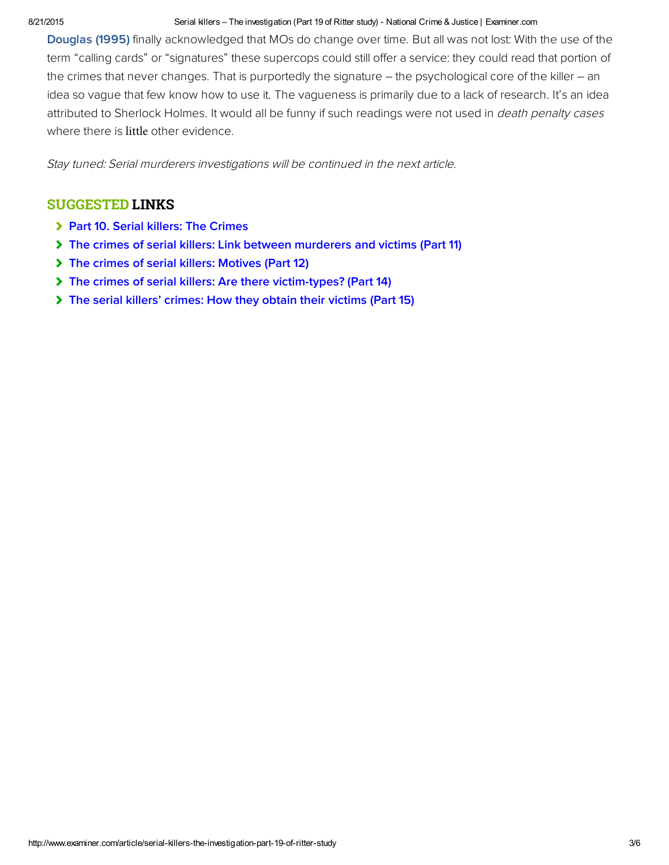#### 8/21/2015 Serial killers – The investigation (Part 19 of Ritter study) National Crime & Justice | Examiner.com

[Douglas \(1995\)](http://amzn.to/1pfw9wl) finally acknowledged that MOs do change over time. But all was not lost: With the use of the term "calling cards" or "signatures" these supercops could still offer a service: they could read that portion of the crimes that never changes. That is purportedly the signature – the psychological core of the killer – an idea so vague that few know how to use it. The vagueness is primarily due to a lack of research. It's an idea attributed to Sherlock Holmes. It would all be funny if such readings were not used in *death penalty cases* where there is little other evidence.

Stay tuned: Serial murderers investigations will be continued in the next article.

### SUGGESTED LINKS

- > [Part 10. Serial killers: The Crimes](http://www.ritterhomicideresearch.com/articles/Part-10.pdf)
- [The crimes of serial killers: Link between murderers and victims \(Part 11\)](http://www.ritterhomicideresearch.com/articles/Part-11.pdf)
- [The crimes of serial killers: Motives \(Part 12\)](http://www.ritterhomicideresearch.com/articles/Part-12.pdf)
- [The crimes of serial killers: Are there victim-types? \(Part 14\)](http://www.ritterhomicideresearch.com/articles/Part-14.pdf)
- [The serial killers' crimes: How they obtain their victims \(Part 15\)](http://www.ritterhomicideresearch.com/articles/Part-15.pdf)